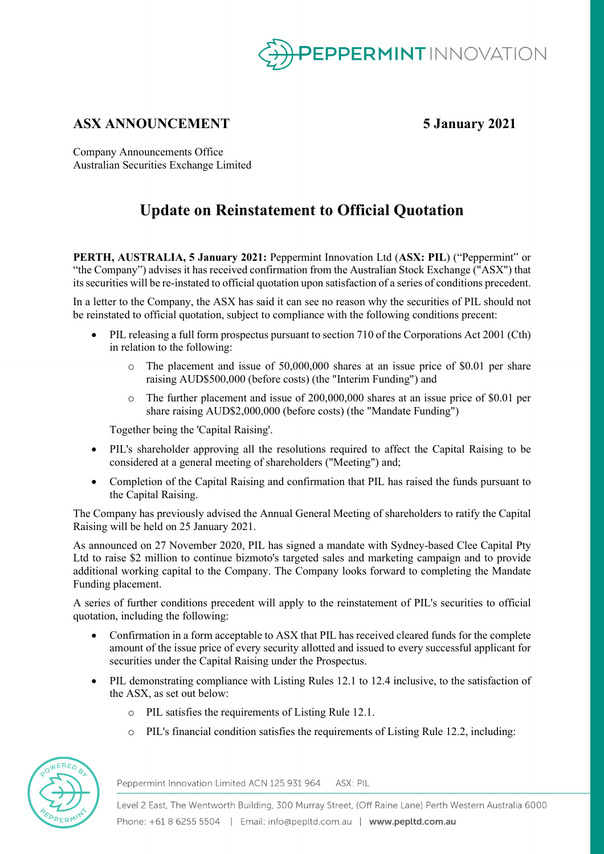

# **ASX ANNOUNCEMENT 5 January 2021**

Company Announcements Office Australian Securities Exchange Limited

# **Update on Reinstatement to Official Quotation**

**PERTH, AUSTRALIA, 5 January 2021:** Peppermint Innovation Ltd (**ASX: PIL**) ("Peppermint" or "the Company") advises it has received confirmation from the Australian Stock Exchange ("ASX") that its securities will be re-instated to official quotation upon satisfaction of a series of conditions precedent.

In a letter to the Company, the ASX has said it can see no reason why the securities of PIL should not be reinstated to official quotation, subject to compliance with the following conditions precent:

- PIL releasing a full form prospectus pursuant to section 710 of the Corporations Act 2001 (Cth) in relation to the following:
	- o The placement and issue of 50,000,000 shares at an issue price of \$0.01 per share raising AUD\$500,000 (before costs) (the "Interim Funding") and
	- o The further placement and issue of 200,000,000 shares at an issue price of \$0.01 per share raising AUD\$2,000,000 (before costs) (the "Mandate Funding")

Together being the 'Capital Raising'.

- PIL's shareholder approving all the resolutions required to affect the Capital Raising to be considered at a general meeting of shareholders ("Meeting") and;
- Completion of the Capital Raising and confirmation that PIL has raised the funds pursuant to the Capital Raising.

The Company has previously advised the Annual General Meeting of shareholders to ratify the Capital Raising will be held on 25 January 2021.

As announced on 27 November 2020, PIL has signed a mandate with Sydney-based Clee Capital Pty Ltd to raise \$2 million to continue bizmoto's targeted sales and marketing campaign and to provide additional working capital to the Company. The Company looks forward to completing the Mandate Funding placement.

A series of further conditions precedent will apply to the reinstatement of PIL's securities to official quotation, including the following:

- Confirmation in a form acceptable to ASX that PIL has received cleared funds for the complete amount of the issue price of every security allotted and issued to every successful applicant for securities under the Capital Raising under the Prospectus.
- PIL demonstrating compliance with Listing Rules 12.1 to 12.4 inclusive, to the satisfaction of the ASX, as set out below:
	- o PIL satisfies the requirements of Listing Rule 12.1.
	- o PIL's financial condition satisfies the requirements of Listing Rule 12.2, including:



Peppermint Innovation Limited ACN 125 931 964 ASX: PIL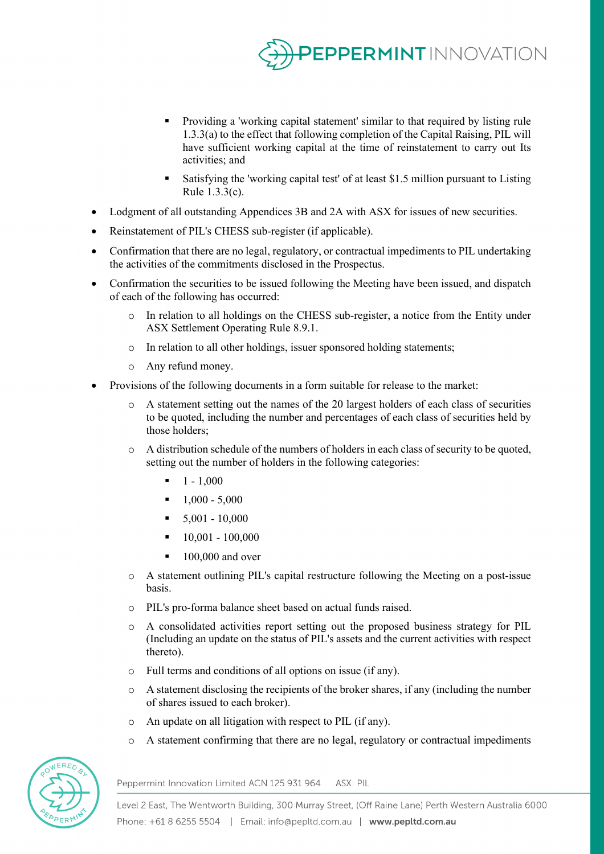

- Providing a 'working capital statement' similar to that required by listing rule 1.3.3(a) to the effect that following completion of the Capital Raising, PIL will have sufficient working capital at the time of reinstatement to carry out Its activities; and
- Satisfying the 'working capital test' of at least \$1.5 million pursuant to Listing Rule 1.3.3(c).
- Lodgment of all outstanding Appendices 3B and 2A with ASX for issues of new securities.
- Reinstatement of PIL's CHESS sub-register (if applicable).
- Confirmation that there are no legal, regulatory, or contractual impediments to PIL undertaking the activities of the commitments disclosed in the Prospectus.
- Confirmation the securities to be issued following the Meeting have been issued, and dispatch of each of the following has occurred:
	- o In relation to all holdings on the CHESS sub-register, a notice from the Entity under ASX Settlement Operating Rule 8.9.1.
	- o In relation to all other holdings, issuer sponsored holding statements;
	- o Any refund money.
- Provisions of the following documents in a form suitable for release to the market:
	- o A statement setting out the names of the 20 largest holders of each class of securities to be quoted, including the number and percentages of each class of securities held by those holders;
	- o A distribution schedule of the numbers of holders in each class of security to be quoted, setting out the number of holders in the following categories:
		- $-1 1,000$
		- $-1,000 5,000$
		- $\blacksquare$  5,001 10,000
		- $-10,001 100,000$
		- $\blacksquare$  100,000 and over
	- o A statement outlining PIL's capital restructure following the Meeting on a post-issue basis.
	- o PIL's pro-forma balance sheet based on actual funds raised.
	- o A consolidated activities report setting out the proposed business strategy for PIL (Including an update on the status of PIL's assets and the current activities with respect thereto).
	- o Full terms and conditions of all options on issue (if any).
	- $\circ$  A statement disclosing the recipients of the broker shares, if any (including the number of shares issued to each broker).
	- o An update on all litigation with respect to PIL (if any).
	- o A statement confirming that there are no legal, regulatory or contractual impediments



Peppermint Innovation Limited ACN 125 931 964 ASX: PIL